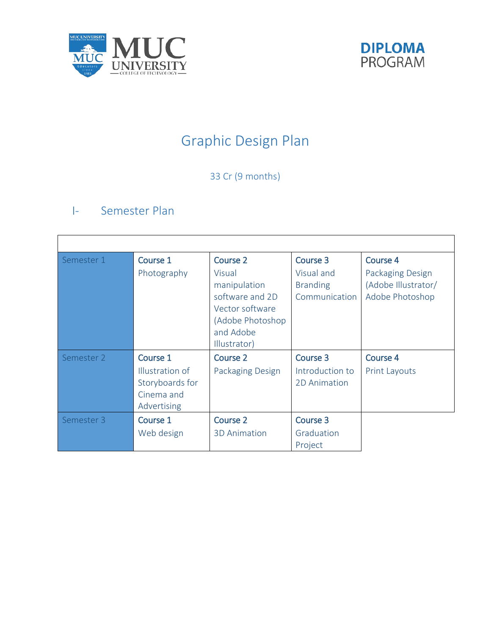



# Graphic Design Plan

## 33 Cr (9 months)

## I- Semester Plan

| Semester 1 | Course 1<br>Photography                                                     | Course 2<br>Visual<br>manipulation<br>software and 2D<br>Vector software<br>(Adobe Photoshop<br>and Adobe<br>Illustrator) | Course 3<br>Visual and<br><b>Branding</b><br>Communication | Course 4<br>Packaging Design<br>(Adobe Illustrator/<br>Adobe Photoshop |
|------------|-----------------------------------------------------------------------------|---------------------------------------------------------------------------------------------------------------------------|------------------------------------------------------------|------------------------------------------------------------------------|
| Semester 2 | Course 1<br>Illustration of<br>Storyboards for<br>Cinema and<br>Advertising | Course 2<br>Packaging Design                                                                                              | Course 3<br>Introduction to<br>2D Animation                | <b>Course 4</b><br><b>Print Layouts</b>                                |
| Semester 3 | Course 1<br>Web design                                                      | <b>Course 2</b><br><b>3D Animation</b>                                                                                    | Course 3<br>Graduation<br>Project                          |                                                                        |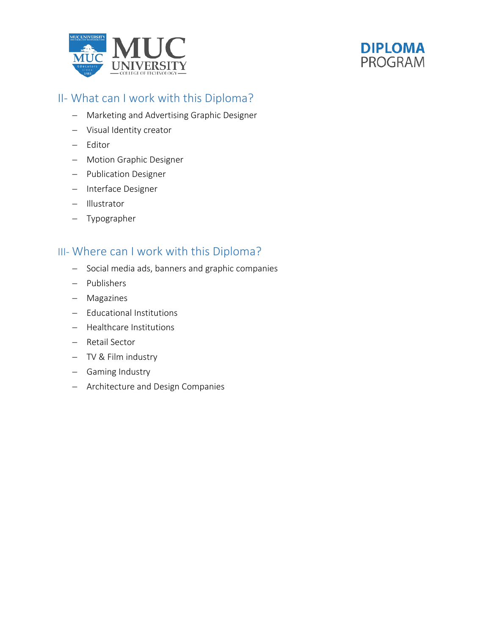



## II- What can I work with this Diploma?

- − Marketing and Advertising Graphic Designer
- − Visual Identity creator
- − Editor
- − Motion Graphic Designer
- − Publication Designer
- − Interface Designer
- − Illustrator
- − Typographer

### III- Where can I work with this Diploma?

- − Social media ads, banners and graphic companies
- − Publishers
- − Magazines
- − Educational Institutions
- − Healthcare Institutions
- − Retail Sector
- − TV & Film industry
- − Gaming Industry
- − Architecture and Design Companies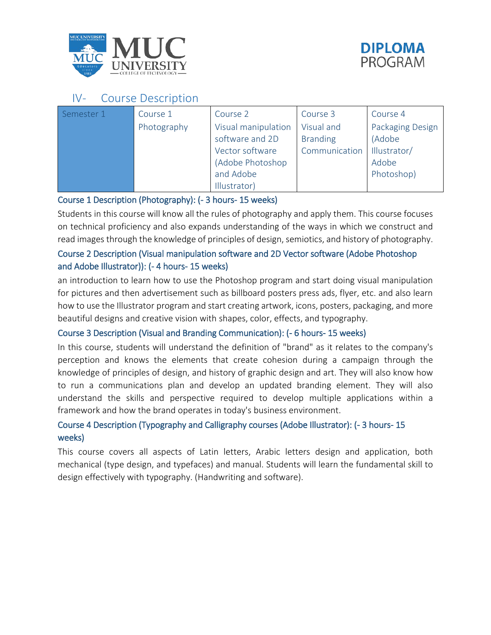



## IV- Course Description

| Semester 1 | Course 1    | Course 2            | Course 3        | Course 4         |
|------------|-------------|---------------------|-----------------|------------------|
|            | Photography | Visual manipulation | Visual and      | Packaging Design |
|            |             | software and 2D     | <b>Branding</b> | (Adobe           |
|            |             | Vector software     | Communication   | Illustrator/     |
|            |             | (Adobe Photoshop    |                 | Adobe            |
|            |             | and Adobe           |                 | Photoshop)       |
|            |             | Illustrator)        |                 |                  |

#### Course 1 Description (Photography): (- 3 hours- 15 weeks)

Students in this course will know all the rules of photography and apply them. This course focuses on technical proficiency and also expands understanding of the ways in which we construct and read images through the knowledge of principles of design, semiotics, and history of photography.

#### Course 2 Description (Visual manipulation software and 2D Vector software (Adobe Photoshop and Adobe Illustrator)): (- 4 hours- 15 weeks)

an introduction to learn how to use the Photoshop program and start doing visual manipulation for pictures and then advertisement such as billboard posters press ads, flyer, etc. and also learn how to use the Illustrator program and start creating artwork, icons, posters, packaging, and more beautiful designs and creative vision with shapes, color, effects, and typography.

#### Course 3 Description (Visual and Branding Communication): (- 6 hours- 15 weeks)

In this course, students will understand the definition of "brand" as it relates to the company's perception and knows the elements that create cohesion during a campaign through the knowledge of principles of design, and history of graphic design and art. They will also know how to run a communications plan and develop an updated branding element. They will also understand the skills and perspective required to develop multiple applications within a framework and how the brand operates in today's business environment.

#### Course 4 Description (Typography and Calligraphy courses (Adobe Illustrator): (- 3 hours- 15 weeks)

This course covers all aspects of Latin letters, Arabic letters design and application, both mechanical (type design, and typefaces) and manual. Students will learn the fundamental skill to design effectively with typography. (Handwriting and software).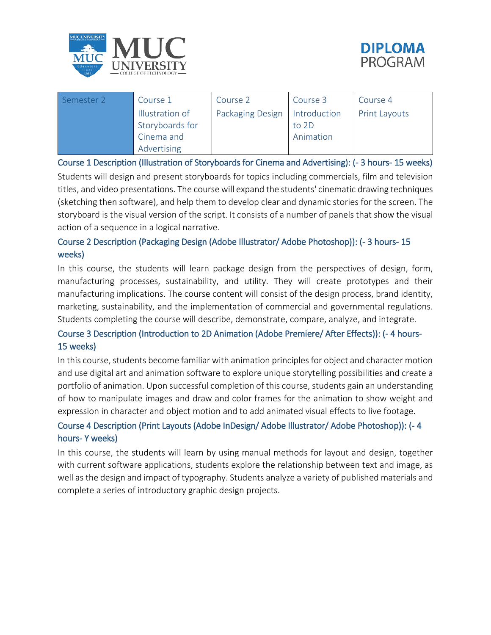



| Semester 2 | Course 1        | Course 2                | Course 3     | Course 4             |
|------------|-----------------|-------------------------|--------------|----------------------|
|            | Illustration of | <b>Packaging Design</b> | Introduction | <b>Print Layouts</b> |
|            | Storyboards for |                         | to 2D        |                      |
|            | Cinema and      |                         | Animation    |                      |
|            | Advertising     |                         |              |                      |

Course 1 Description (Illustration of Storyboards for Cinema and Advertising): (- 3 hours- 15 weeks)

Students will design and present storyboards for topics including commercials, film and television titles, and video presentations. The course will expand the students' cinematic drawing techniques (sketching then software), and help them to develop clear and dynamic stories for the screen. The storyboard is the visual version of the script. It consists of a number of panels that show the visual action of a sequence in a logical narrative.

#### Course 2 Description (Packaging Design (Adobe Illustrator/ Adobe Photoshop)): (- 3 hours- 15 weeks)

In this course, the students will learn package design from the perspectives of design, form, manufacturing processes, sustainability, and utility. They will create prototypes and their manufacturing implications. The course content will consist of the design process, brand identity, marketing, sustainability, and the implementation of commercial and governmental regulations. Students completing the course will describe, demonstrate, compare, analyze, and integrate.

#### Course 3 Description (Introduction to 2D Animation (Adobe Premiere/ After Effects)): (- 4 hours-15 weeks)

In this course, students become familiar with animation principles for object and character motion and use digital art and animation software to explore unique storytelling possibilities and create a portfolio of animation. Upon successful completion of this course, students gain an understanding of how to manipulate images and draw and color frames for the animation to show weight and expression in character and object motion and to add animated visual effects to live footage.

#### Course 4 Description (Print Layouts (Adobe InDesign/ Adobe Illustrator/ Adobe Photoshop)): (- 4 hours- Y weeks)

In this course, the students will learn by using manual methods for layout and design, together with current software applications, students explore the relationship between text and image, as well as the design and impact of typography. Students analyze a variety of published materials and complete a series of introductory graphic design projects.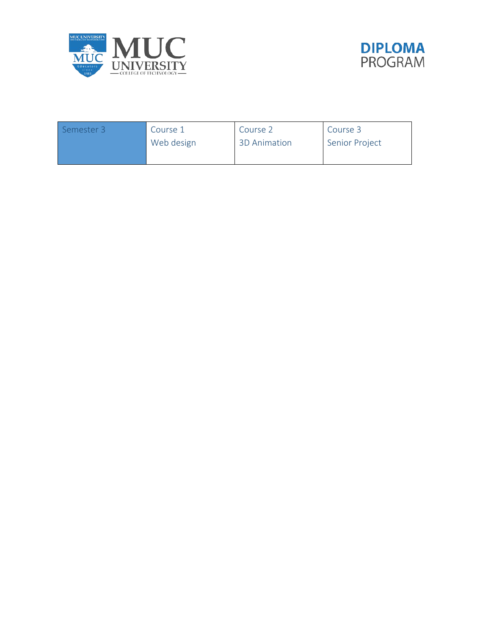



| Semester 3 | Course 1   | Course 2            | Course 3              |
|------------|------------|---------------------|-----------------------|
|            | Web design | <b>3D Animation</b> | <b>Senior Project</b> |
|            |            |                     |                       |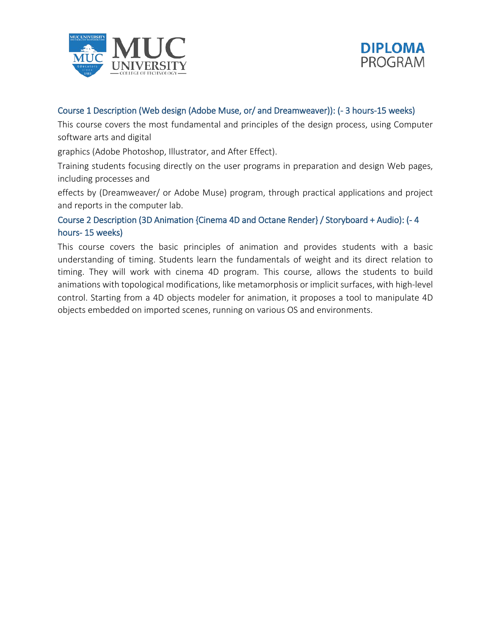



#### Course 1 Description (Web design (Adobe Muse, or/ and Dreamweaver)): (- 3 hours-15 weeks)

This course covers the most fundamental and principles of the design process, using Computer software arts and digital

graphics (Adobe Photoshop, Illustrator, and After Effect).

Training students focusing directly on the user programs in preparation and design Web pages, including processes and

effects by (Dreamweaver/ or Adobe Muse) program, through practical applications and project and reports in the computer lab.

#### Course 2 Description (3D Animation {Cinema 4D and Octane Render} / Storyboard + Audio): (- 4 hours- 15 weeks)

This course covers the basic principles of animation and provides students with a basic understanding of timing. Students learn the fundamentals of weight and its direct relation to timing. They will work with cinema 4D program. This course, allows the students to build animations with topological modifications, like metamorphosis or implicit surfaces, with high-level control. Starting from a 4D objects modeler for animation, it proposes a tool to manipulate 4D objects embedded on imported scenes, running on various OS and environments.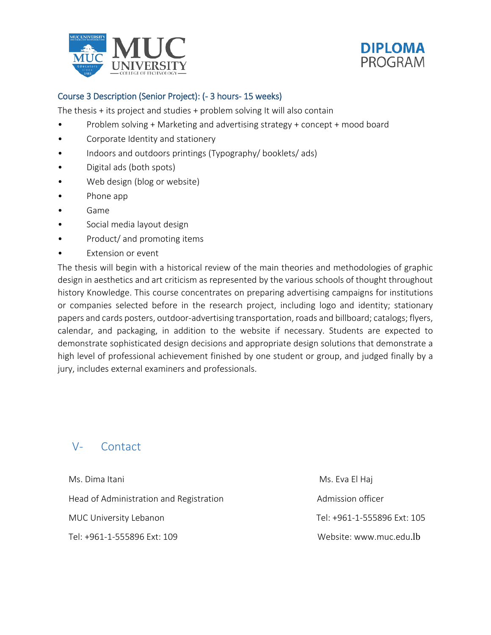



#### Course 3 Description (Senior Project): (- 3 hours- 15 weeks)

The thesis + its project and studies + problem solving It will also contain

- Problem solving + Marketing and advertising strategy + concept + mood board
- Corporate Identity and stationery
- Indoors and outdoors printings (Typography/ booklets/ ads)
- Digital ads (both spots)
- Web design (blog or website)
- Phone app
- Game
- Social media layout design
- Product/ and promoting items
- Extension or event

The thesis will begin with a historical review of the main theories and methodologies of graphic design in aesthetics and art criticism as represented by the various schools of thought throughout history Knowledge. This course concentrates on preparing advertising campaigns for institutions or companies selected before in the research project, including logo and identity; stationary papers and cards posters, outdoor-advertising transportation, roads and billboard; catalogs; flyers, calendar, and packaging, in addition to the website if necessary. Students are expected to demonstrate sophisticated design decisions and appropriate design solutions that demonstrate a high level of professional achievement finished by one student or group, and judged finally by a jury, includes external examiners and professionals.

## V- Contact

Ms. Dima Itani Mashida Ms. Eva El Haj Head of Administration and Registration Admission officer MUC University Lebanon Tel: +961-1-555896 Ext: 105 Tel: +961-1-555896 Ext: 109 Website: www.muc.edu.lb